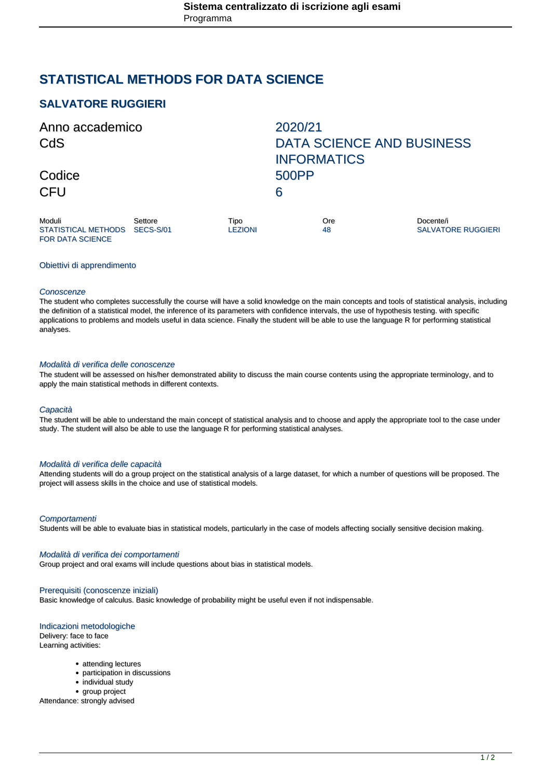# **STATISTICAL METHODS FOR DATA SCIENCE**

# **SALVATORE RUGGIERI**

| Anno accademico<br>CdS                  |         |                        | 2020/21<br><b>DATA SCIENCE AND BUSINESS</b><br><b>INFORMATICS</b> |                                        |
|-----------------------------------------|---------|------------------------|-------------------------------------------------------------------|----------------------------------------|
|                                         |         |                        |                                                                   |                                        |
| Moduli<br>STATISTICAL METHODS SECS-S/01 | Settore | Tipo<br><b>LEZIONI</b> | Ore<br>48                                                         | Docente/i<br><b>SALVATORE RUGGIERI</b> |

# Obiettivi di apprendimento

FOR DATA SCIENCE

#### **Conoscenze**

The student who completes successfully the course will have a solid knowledge on the main concepts and tools of statistical analysis, including the definition of a statistical model, the inference of its parameters with confidence intervals, the use of hypothesis testing. with specific applications to problems and models useful in data science. Finally the student will be able to use the language R for performing statistical analyses.

#### Modalità di verifica delle conoscenze

The student will be assessed on his/her demonstrated ability to discuss the main course contents using the appropriate terminology, and to apply the main statistical methods in different contexts.

#### **Capacità**

The student will be able to understand the main concept of statistical analysis and to choose and apply the appropriate tool to the case under study. The student will also be able to use the language R for performing statistical analyses.

#### Modalità di verifica delle capacità

Attending students will do a group project on the statistical analysis of a large dataset, for which a number of questions will be proposed. The project will assess skills in the choice and use of statistical models.

#### **Comportamenti**

Students will be able to evaluate bias in statistical models, particularly in the case of models affecting socially sensitive decision making.

#### Modalità di verifica dei comportamenti

Group project and oral exams will include questions about bias in statistical models.

#### Prerequisiti (conoscenze iniziali)

Basic knowledge of calculus. Basic knowledge of probability might be useful even if not indispensable.

## Indicazioni metodologiche

Delivery: face to face

- Learning activities:
	- attending lectures
	- participation in discussions
	- individual study
	- group project

Attendance: strongly advised